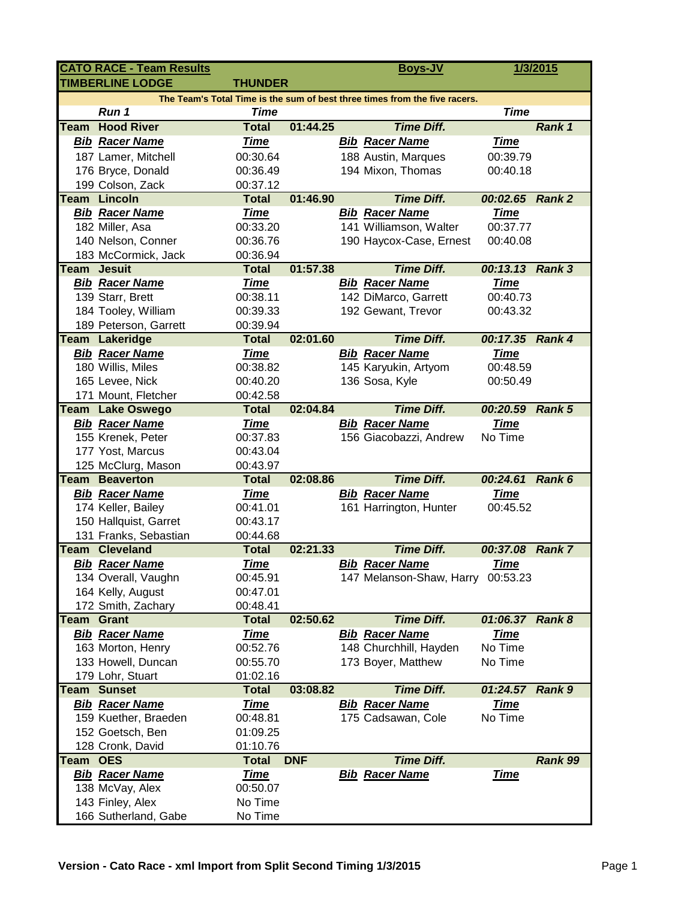|                                                                            | <b>CATO RACE - Team Results</b> |                          |            |  | <b>Boys-JV</b>                    |                 | 1/3/2015      |  |  |  |  |  |
|----------------------------------------------------------------------------|---------------------------------|--------------------------|------------|--|-----------------------------------|-----------------|---------------|--|--|--|--|--|
| <b>TIMBERLINE LODGE</b><br><b>THUNDER</b>                                  |                                 |                          |            |  |                                   |                 |               |  |  |  |  |  |
| The Team's Total Time is the sum of best three times from the five racers. |                                 |                          |            |  |                                   |                 |               |  |  |  |  |  |
|                                                                            | Run 1                           | <b>Time</b>              |            |  |                                   | <b>Time</b>     |               |  |  |  |  |  |
| Team                                                                       | <b>Hood River</b>               | <b>Total</b>             | 01:44.25   |  | <b>Time Diff.</b>                 |                 | Rank 1        |  |  |  |  |  |
|                                                                            | <b>Bib Racer Name</b>           | <b>Time</b>              |            |  | <b>Bib Racer Name</b>             | <b>Time</b>     |               |  |  |  |  |  |
|                                                                            | 187 Lamer, Mitchell             | 00:30.64                 |            |  | 188 Austin, Marques               | 00:39.79        |               |  |  |  |  |  |
|                                                                            | 176 Bryce, Donald               | 00:36.49                 |            |  | 194 Mixon, Thomas                 | 00:40.18        |               |  |  |  |  |  |
|                                                                            | 199 Colson, Zack                | 00:37.12                 |            |  |                                   |                 |               |  |  |  |  |  |
|                                                                            | <b>Team Lincoln</b>             | <b>Total</b>             | 01:46.90   |  | <b>Time Diff.</b>                 | 00:02.65 Rank 2 |               |  |  |  |  |  |
|                                                                            | <b>Bib Racer Name</b>           | <b>Time</b>              |            |  | <b>Bib Racer Name</b>             | <u>Time</u>     |               |  |  |  |  |  |
|                                                                            | 182 Miller, Asa                 | 00:33.20                 |            |  | 141 Williamson, Walter            | 00:37.77        |               |  |  |  |  |  |
|                                                                            | 140 Nelson, Conner              | 00:36.76                 |            |  | 190 Haycox-Case, Ernest           | 00:40.08        |               |  |  |  |  |  |
|                                                                            | 183 McCormick, Jack             | 00:36.94                 |            |  |                                   |                 |               |  |  |  |  |  |
|                                                                            | <b>Team</b> Jesuit              | <b>Total</b>             | 01:57.38   |  | <b>Time Diff.</b>                 | 00:13.13 Rank 3 |               |  |  |  |  |  |
|                                                                            | <b>Bib Racer Name</b>           | <b>Time</b>              |            |  | <b>Bib Racer Name</b>             | <b>Time</b>     |               |  |  |  |  |  |
|                                                                            | 139 Starr, Brett                | 00:38.11                 |            |  | 142 DiMarco, Garrett              | 00:40.73        |               |  |  |  |  |  |
|                                                                            | 184 Tooley, William             | 00:39.33                 |            |  | 192 Gewant, Trevor                | 00:43.32        |               |  |  |  |  |  |
|                                                                            | 189 Peterson, Garrett           | 00:39.94                 |            |  |                                   |                 |               |  |  |  |  |  |
| Team                                                                       | Lakeridge                       | <b>Total</b>             | 02:01.60   |  | <b>Time Diff.</b>                 | 00:17.35        | <b>Rank 4</b> |  |  |  |  |  |
|                                                                            | <b>Bib Racer Name</b>           | <b>Time</b>              |            |  | <b>Bib Racer Name</b>             | <b>Time</b>     |               |  |  |  |  |  |
|                                                                            | 180 Willis, Miles               | 00:38.82                 |            |  | 145 Karyukin, Artyom              | 00:48.59        |               |  |  |  |  |  |
|                                                                            | 165 Levee, Nick                 | 00:40.20                 |            |  | 136 Sosa, Kyle                    | 00:50.49        |               |  |  |  |  |  |
|                                                                            | 171 Mount, Fletcher             | 00:42.58                 |            |  |                                   |                 |               |  |  |  |  |  |
| Team                                                                       | <b>Lake Oswego</b>              | <b>Total</b>             | 02:04.84   |  | <b>Time Diff.</b>                 | 00:20.59        | <b>Rank 5</b> |  |  |  |  |  |
|                                                                            | <b>Bib Racer Name</b>           | <b>Time</b>              |            |  | <b>Bib Racer Name</b>             | <b>Time</b>     |               |  |  |  |  |  |
|                                                                            | 155 Krenek, Peter               | 00:37.83                 |            |  | 156 Giacobazzi, Andrew            | No Time         |               |  |  |  |  |  |
|                                                                            | 177 Yost, Marcus                | 00:43.04                 |            |  |                                   |                 |               |  |  |  |  |  |
|                                                                            | 125 McClurg, Mason              | 00:43.97                 |            |  |                                   |                 |               |  |  |  |  |  |
| Team                                                                       | <b>Beaverton</b>                | <b>Total</b>             | 02:08.86   |  | <b>Time Diff.</b>                 | 00:24.61        | Rank 6        |  |  |  |  |  |
|                                                                            | <b>Bib Racer Name</b>           | Time                     |            |  | <b>Bib Racer Name</b>             | Time            |               |  |  |  |  |  |
|                                                                            | 174 Keller, Bailey              | 00:41.01                 |            |  | 161 Harrington, Hunter            | 00:45.52        |               |  |  |  |  |  |
|                                                                            | 150 Hallquist, Garret           | 00:43.17                 |            |  |                                   |                 |               |  |  |  |  |  |
|                                                                            | 131 Franks, Sebastian           | 00:44.68                 |            |  |                                   |                 |               |  |  |  |  |  |
|                                                                            | <b>Team Cleveland</b>           | <b>Total</b>             | 02:21.33   |  | <b>Time Diff.</b>                 | 00:37.08        | <b>Rank 7</b> |  |  |  |  |  |
|                                                                            | <b>Bib Racer Name</b>           | <b>Time</b>              |            |  | <b>Bib Racer Name</b>             | <b>Time</b>     |               |  |  |  |  |  |
|                                                                            | 134 Overall, Vaughn             | 00:45.91                 |            |  | 147 Melanson-Shaw, Harry 00:53.23 |                 |               |  |  |  |  |  |
|                                                                            | 164 Kelly, August               | 00:47.01                 |            |  |                                   |                 |               |  |  |  |  |  |
|                                                                            | 172 Smith, Zachary              | 00:48.41                 |            |  |                                   |                 |               |  |  |  |  |  |
| Team                                                                       | <b>Grant</b>                    | <b>Total</b>             | 02:50.62   |  | <b>Time Diff.</b>                 | 01:06.37        | <b>Rank 8</b> |  |  |  |  |  |
|                                                                            | <b>Bib Racer Name</b>           | <u>Time</u>              |            |  | <b>Bib Racer Name</b>             | <b>Time</b>     |               |  |  |  |  |  |
|                                                                            | 163 Morton, Henry               | 00:52.76                 |            |  | 148 Churchhill, Hayden            | No Time         |               |  |  |  |  |  |
|                                                                            | 133 Howell, Duncan              | 00:55.70                 |            |  | 173 Boyer, Matthew                | No Time         |               |  |  |  |  |  |
|                                                                            | 179 Lohr, Stuart                | 01:02.16                 |            |  |                                   |                 |               |  |  |  |  |  |
| Team                                                                       | <b>Sunset</b>                   | <b>Total</b>             | 03:08.82   |  | <b>Time Diff.</b>                 | 01:24.57        | <b>Rank 9</b> |  |  |  |  |  |
|                                                                            | <b>Bib Racer Name</b>           | <b>Time</b>              |            |  | <b>Bib Racer Name</b>             | <b>Time</b>     |               |  |  |  |  |  |
|                                                                            | 159 Kuether, Braeden            | 00:48.81                 |            |  | 175 Cadsawan, Cole                | No Time         |               |  |  |  |  |  |
|                                                                            | 152 Goetsch, Ben                | 01:09.25                 |            |  |                                   |                 |               |  |  |  |  |  |
| Team OES                                                                   | 128 Cronk, David                | 01:10.76<br><b>Total</b> | <b>DNF</b> |  | <b>Time Diff.</b>                 |                 | Rank 99       |  |  |  |  |  |
|                                                                            | <b>Bib Racer Name</b>           | <u>Time</u>              |            |  | <b>Bib Racer Name</b>             | <b>Time</b>     |               |  |  |  |  |  |
|                                                                            | 138 McVay, Alex                 | 00:50.07                 |            |  |                                   |                 |               |  |  |  |  |  |
|                                                                            | 143 Finley, Alex                | No Time                  |            |  |                                   |                 |               |  |  |  |  |  |
|                                                                            | 166 Sutherland, Gabe            | No Time                  |            |  |                                   |                 |               |  |  |  |  |  |
|                                                                            |                                 |                          |            |  |                                   |                 |               |  |  |  |  |  |